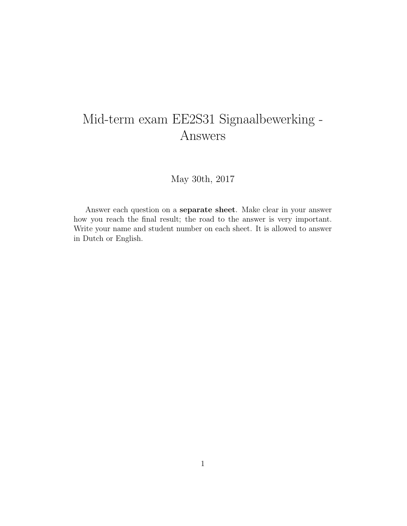## Mid-term exam EE2S31 Signaalbewerking - Answers

May 30th, 2017

Answer each question on a separate sheet. Make clear in your answer how you reach the final result; the road to the answer is very important. Write your name and student number on each sheet. It is allowed to answer in Dutch or English.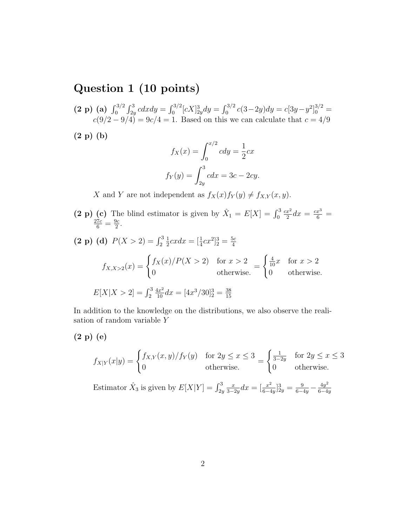## Question 1 (10 points)

- (2 p) (a)  $\int_0^{3/2} \int_{2y}^3 c dx dy = \int_0^{3/2} [cX]_{2y}^3 dy = \int_0^{3/2} c(3-2y) dy = c[3y-y^2]_0^{3/2} =$  $c(9/2-9/4)=9c/4=1$ . Based on this we can calculate that  $c=4/9$
- (2 p) (b)

$$
f_X(x) = \int_0^{x/2} cdy = \frac{1}{2}cx
$$
  

$$
f_Y(y) = \int_{2y}^3 cdx = 3c - 2cy.
$$

X and Y are not independent as  $f_X(x)f_Y(y) \neq f_{X,Y}(x, y)$ .

(2 p) (c) The blind estimator is given by  $\hat{X}_1 = E[X] = \int_0^3$  $cx^2$ (c) The blind estimator is given by  $\hat{X}_1 = E[X] = \int_0^3 \frac{cx^2}{2} dx = \frac{cx^3}{6} = \frac{27c}{6} = \frac{9c}{2}$ .  $\frac{3c}{2}$ . (2 p) (d)  $P(X > 2) = \int_2^3$ 1  $\frac{1}{2}cxdx = [\frac{1}{4}cx^2]_2^3 = \frac{5c}{4}$ 4  $\frac{4}{4}$ 

$$
f_{X,X>2}(x) = \begin{cases} f_X(x)/P(X>2) & \text{for } x > 2\\ 0 & \text{otherwise.} \end{cases} = \begin{cases} \frac{4}{10}x & \text{for } x > 2\\ 0 & \text{otherwise.} \end{cases}
$$
  

$$
E[X|X>2] = \int_2^3 \frac{4x^2}{10} dx = [4x^3/30]_2^3 = \frac{38}{15}
$$

In addition to the knowledge on the distributions, we also observe the realisation of random variable Y

(2 p) (e)

$$
f_{X|Y}(x|y) = \begin{cases} f_{X,Y}(x,y)/f_Y(y) & \text{for } 2y \le x \le 3\\ 0 & \text{otherwise.} \end{cases} = \begin{cases} \frac{1}{3-2y} & \text{for } 2y \le x \le 3\\ 0 & \text{otherwise.} \end{cases}
$$

Estimator  $\hat{X}_3$  is given by  $E[X|Y] = \int_{2y}^{3}$  $\overline{x}$  $\frac{x}{3-2y}dx = \left[\frac{x^2}{6-4}\right]$  $\frac{x^2}{6-4y}$ ] $\frac{3}{2y} = \frac{9}{6-4y} - \frac{4y^2}{6-4y}$  $6-4y$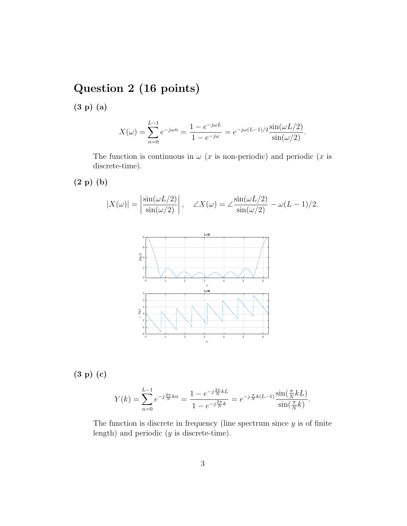## Question 2 (16 points)

(3 p) (a)

$$
X(\omega) = \sum_{n=0}^{L-1} e^{-j\omega n} = \frac{1 - e^{-j\omega L}}{1 - e^{-j\omega}} = e^{-j\omega (L-1)/2} \frac{\sin(\omega L/2)}{\sin(\omega/2)}.
$$

The function is continuous in  $\omega$  (x is non-periodic) and periodic (x is discrete-time).

(2 p) (b)

$$
|X(\omega)| = \left| \frac{\sin(\omega L/2)}{\sin(\omega/2)} \right|, \quad \angle X(\omega) = \angle \frac{\sin(\omega L/2)}{\sin(\omega/2)} - \omega(L-1)/2.
$$



(3 p) (c)

$$
Y(k) = \sum_{n=0}^{L-1} e^{-j\frac{2\pi}{N}kn} = \frac{1 - e^{-j\frac{2\pi}{N}kL}}{1 - e^{-j\frac{2\pi}{N}k}} = e^{-j\frac{\pi}{N}k(L-1)} \frac{\sin(\frac{\pi}{N}kL)}{\sin(\frac{\pi}{N}k)}.
$$

The function is discrete in frequency (line spectrum since  $y$  is of finite length) and periodic  $(y \text{ is discrete-time}).$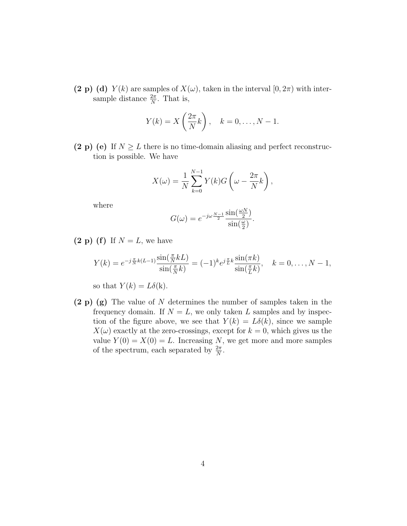(2 p) (d)  $Y(k)$  are samples of  $X(\omega)$ , taken in the interval  $[0, 2\pi)$  with intersample distance  $\frac{2\pi}{N}$ . That is,

$$
Y(k) = X\left(\frac{2\pi}{N}k\right), \quad k = 0, \dots, N - 1.
$$

(2 p) (e) If  $N \geq L$  there is no time-domain aliasing and perfect reconstruction is possible. We have

$$
X(\omega) = \frac{1}{N} \sum_{k=0}^{N-1} Y(k) G\left(\omega - \frac{2\pi}{N}k\right),
$$

where

$$
G(\omega) = e^{-j\omega \frac{N-1}{2}} \frac{\sin(\frac{\omega N}{2})}{\sin(\frac{\omega}{2})}.
$$

 $(2 p)$  (f) If  $N = L$ , we have

$$
Y(k) = e^{-j\frac{\pi}{N}k(L-1)} \frac{\sin(\frac{\pi}{N}kL)}{\sin(\frac{\pi}{N}k)} = (-1)^k e^{j\frac{\pi}{L}k} \frac{\sin(\pi k)}{\sin(\frac{\pi}{L}k)}, \quad k = 0, \dots, N-1,
$$

so that  $Y(k) = L\delta(k)$ .

(2 p) (g) The value of N determines the number of samples taken in the frequency domain. If  $N = L$ , we only taken L samples and by inspection of the figure above, we see that  $Y(k) = L\delta(k)$ , since we sample  $X(\omega)$  exactly at the zero-crossings, except for  $k = 0$ , which gives us the value  $Y(0) = X(0) = L$ . Increasing N, we get more and more samples of the spectrum, each separated by  $\frac{2\pi}{N}$ .